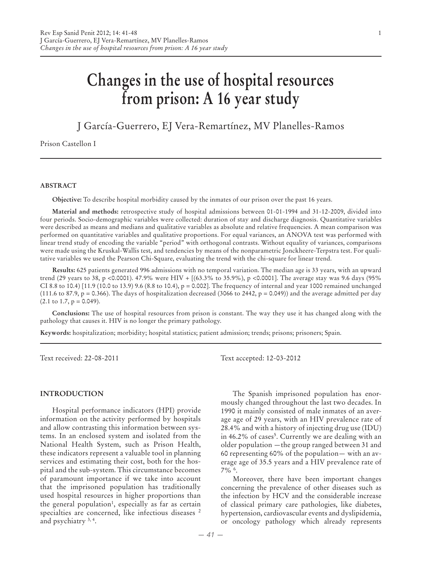# **Changes in the use of hospital resources from prison: A 16 year study**

J García-Guerrero, EJ Vera-Remartínez, MV Planelles-Ramos

Prison Castellon I

#### **ABSTRACT**

**Objective:** To describe hospital morbidity caused by the inmates of our prison over the past 16 years.

**Material and methods:** retrospective study of hospital admissions between 01-01-1994 and 31-12-2009, divided into four periods. Socio-demographic variables were collected: duration of stay and discharge diagnosis. Quantitative variables were described as means and medians and qualitative variables as absolute and relative frequencies. A mean comparison was performed on quantitative variables and qualitative proportions. For equal variances, an ANOVA test was performed with linear trend study of encoding the variable "period" with orthogonal contrasts. Without equality of variances, comparisons were made using the Kruskal-Wallis test, and tendencies by means of the nonparametric Jonckheere-Terpstra test. For qualitative variables we used the Pearson Chi-Square, evaluating the trend with the chi-square for linear trend.

**Results:** 625 patients generated 996 admissions with no temporal variation. The median age is 33 years, with an upward trend (29 years to 38, p <0.0001). 47.9% were HIV + [(63.3% to 35.9%), p <0.0001]. The average stay was 9.6 days (95% CI 8.8 to 10.4) [11.9 (10.0 to 13.9) 9.6 (8.8 to 10.4), p = 0.002]. The frequency of internal and year 1000 remained unchanged (111.6 to 87.9,  $p = 0.366$ ). The days of hospitalization decreased (3066 to 2442,  $p = 0.049$ )) and the average admitted per day  $(2.1 \text{ to } 1.7, p = 0.049).$ 

**Conclusions:** The use of hospital resources from prison is constant. The way they use it has changed along with the pathology that causes it. HIV is no longer the primary pathology.

**Keywords:** hospitalization; morbidity; hospital statistics; patient admission; trends; prisons; prisoners; Spain.

#### **INTRODUCTION**

Hospital performance indicators (HPI) provide information on the activity performed by hospitals and allow contrasting this information between systems. In an enclosed system and isolated from the National Health System, such as Prison Health, these indicators represent a valuable tool in planning services and estimating their cost, both for the hospital and the sub-system. This circumstance becomes of paramount importance if we take into account that the imprisoned population has traditionally used hospital resources in higher proportions than the general population<sup>1</sup>, especially as far as certain specialties are concerned, like infectious diseases <sup>2</sup> and psychiatry 3, 4.

Text received: 22-08-2011 Text accepted: 12-03-2012

The Spanish imprisoned population has enormously changed throughout the last two decades. In 1990 it mainly consisted of male inmates of an average age of 29 years, with an HIV prevalence rate of 28.4% and with a history of injecting drug use (IDU) in 46.2% of cases<sup>5</sup>. Currently we are dealing with an older population —the group ranged between 31 and 60 representing 60% of the population— with an average age of 35.5 years and a HIV prevalence rate of 7% 6.

Moreover, there have been important changes concerning the prevalence of other diseases such as the infection by HCV and the considerable increase of classical primary care pathologies, like diabetes, hypertension, cardiovascular events and dyslipidemia, or oncology pathology which already represents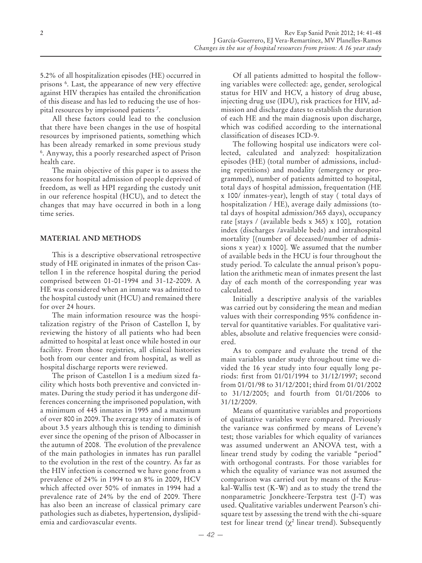5.2% of all hospitalization episodes (HE) occurred in prisons 6 . Last, the appearance of new very effective against HIV therapies has entailed the chronification of this disease and has led to reducing the use of hospital resources by imprisoned patients 7 .

All these factors could lead to the conclusion that there have been changes in the use of hospital resources by imprisoned patients, something which has been already remarked in some previous study 6. Anyway, this a poorly researched aspect of Prison health care.

The main objective of this paper is to assess the reasons for hospital admission of people deprived of freedom, as well as HPI regarding the custody unit in our reference hospital (HCU), and to detect the changes that may have occurred in both in a long time series.

## **MATERIAL AND METHODS**

This is a descriptive observational retrospective study of HE originated in inmates of the prison Castellon I in the reference hospital during the period comprised between 01-01-1994 and 31-12-2009. A HE was considered when an inmate was admitted to the hospital custody unit (HCU) and remained there for over 24 hours.

The main information resource was the hospitalization registry of the Prison of Castellon I, by reviewing the history of all patients who had been admitted to hospital at least once while hosted in our facility. From those registries, all clinical histories both from our center and from hospital, as well as hospital discharge reports were reviewed.

The prison of Castellon I is a medium sized facility which hosts both preventive and convicted inmates. During the study period it has undergone differences concerning the imprisoned population, with a minimum of 445 inmates in 1995 and a maximum of over 800 in 2009. The average stay of inmates is of about 3.5 years although this is tending to diminish ever since the opening of the prison of Albocasser in the autumn of 2008. The evolution of the prevalence of the main pathologies in inmates has run parallel to the evolution in the rest of the country. As far as the HIV infection is concerned we have gone from a prevalence of 24% in 1994 to an 8% in 2009, HCV which affected over 50% of inmates in 1994 had a prevalence rate of 24% by the end of 2009. There has also been an increase of classical primary care pathologies such as diabetes, hypertension, dyslipidemia and cardiovascular events.

Of all patients admitted to hospital the following variables were collected: age, gender, serological status for HIV and HCV, a history of drug abuse, injecting drug use (IDU), risk practices for HIV, admission and discharge dates to establish the duration of each HE and the main diagnosis upon discharge, which was codified according to the international classification of diseases ICD-9.

The following hospital use indicators were collected, calculated and analyzed: hospitalization episodes (HE) (total number of admissions, including repetitions) and modality (emergency or programmed), number of patients admitted to hospital, total days of hospital admission, frequentation (HE x 100/ inmates-year), length of stay ( total days of hospitalization / HE), average daily admissions (total days of hospital admission/365 days), occupancy rate [stays / (available beds x 365) x 100], rotation index (discharges /available beds) and intrahospital mortality [(number of deceased/number of admissions x year) x 1000]. We assumed that the number of available beds in the HCU is four throughout the study period. To calculate the annual prison's population the arithmetic mean of inmates present the last day of each month of the corresponding year was calculated.

Initially a descriptive analysis of the variables was carried out by considering the mean and median values with their corresponding 95% confidence interval for quantitative variables. For qualitative variables, absolute and relative frequencies were considered.

As to compare and evaluate the trend of the main variables under study throughout time we divided the 16 year study into four equally long periods: first from 01/01/1994 to 31/12/1997; second from 01/01/98 to 31/12/2001; third from 01/01/2002 to 31/12/2005; and fourth from 01/01/2006 to 31/12/2009.

Means of quantitative variables and proportions of qualitative variables were compared. Previously the variance was confirmed by means of Levene's test; those variables for which equality of variances was assumed underwent an ANOVA test, with a linear trend study by coding the variable "period" with orthogonal contrasts. For those variables for which the equality of variance was not assumed the comparison was carried out by means of the Kruskal-Wallis test (K-W) and as to study the trend the nonparametric Jonckheere-Terpstra test (J-T) was used. Qualitative variables underwent Pearson's chisquare test by assessing the trend with the chi-square test for linear trend ( $\chi^2$  linear trend). Subsequently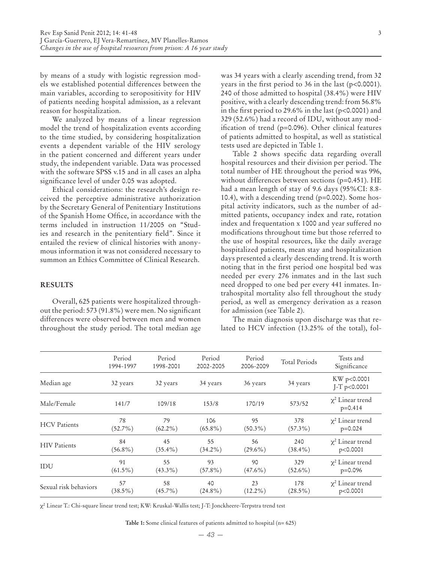by means of a study with logistic regression models we established potential differences between the main variables, according to seropositivity for HIV of patients needing hospital admission, as a relevant reason for hospitalization.

We analyzed by means of a linear regression model the trend of hospitalization events according to the time studied, by considering hospitalization events a dependent variable of the HIV serology in the patient concerned and different years under study, the independent variable. Data was processed with the software SPSS v.15 and in all cases an alpha significance level of under 0.05 was adopted.

Ethical considerations: the research's design received the perceptive administrative authorization by the Secretary General of Penitentiary Institutions of the Spanish Home Office, in accordance with the terms included in instruction 11/2005 on "Studies and research in the penitentiary field". Since it entailed the review of clinical histories with anonymous information it was not considered necessary to summon an Ethics Committee of Clinical Research.

#### **RESULTS**

Overall, 625 patients were hospitalized throughout the period: 573 (91.8%) were men. No significant differences were observed between men and women throughout the study period. The total median age was 34 years with a clearly ascending trend, from 32 years in the first period to 36 in the last (p<0.0001). 240 of those admitted to hospital (38.4%) were HIV positive, with a clearly descending trend: from 56.8% in the first period to 29.6% in the last ( $p<0.0001$ ) and 329 (52.6%) had a record of IDU, without any modification of trend (p=0.096). Other clinical features

of patients admitted to hospital, as well as statistical

tests used are depicted in Table 1. Table 2 shows specific data regarding overall hospital resources and their division per period. The total number of HE throughout the period was 996, without differences between sections (p=0.451). HE had a mean length of stay of 9.6 days (95%CI: 8.8- 10.4), with a descending trend (p=0.002). Some hospital activity indicators, such as the number of admitted patients, occupancy index and rate, rotation index and frequentation x 1000 and year suffered no modifications throughout time but those referred to the use of hospital resources, like the daily average hospitalized patients, mean stay and hospitalization days presented a clearly descending trend. It is worth noting that in the first period one hospital bed was needed per every 276 inmates and in the last such need dropped to one bed per every 441 inmates. Intrahospital mortality also fell throughout the study period, as well as emergency derivation as a reason for admission (see Table 2).

The main diagnosis upon discharge was that related to HCV infection (13.25% of the total), fol-

|                       | Period<br>1994-1997 | Period<br>1998-2001 | Period<br>2002-2005 | Period<br>2006-2009 | <b>Total Periods</b> | Tests and<br>Significance            |
|-----------------------|---------------------|---------------------|---------------------|---------------------|----------------------|--------------------------------------|
| Median age            | 32 years            | 32 years            | 34 years            | 36 years            | 34 years             | KW p<0.0001<br>$J-T$ p<0.0001        |
| Male/Female           | 141/7               | 109/18              | 153/8               | 170/19              | 573/52               | $\chi^2$ Linear trend<br>$p = 0.414$ |
| <b>HCV</b> Patients   | 78                  | 79                  | 106                 | 95                  | 378                  | $\chi^2$ Linear trend                |
|                       | $(52.7\%)$          | $(62.2\%)$          | $(65.8\%)$          | $(50.3\%)$          | $(57.3\%)$           | $p=0.024$                            |
| <b>HIV</b> Patients   | 84                  | 45                  | 55                  | 56                  | 240                  | $\chi^2$ Linear trend                |
|                       | $(56.8\%)$          | $(35.4\%)$          | $(34.2\%)$          | $(29.6\%)$          | $(38.4\%)$           | p<0.0001                             |
| IDU                   | 91                  | 55                  | 93                  | 90                  | 329                  | $\chi^2$ Linear trend                |
|                       | $(61.5\%)$          | $(43.3\%)$          | $(57.8\%)$          | $(47.6\%)$          | $(52.6\%)$           | $p=0.096$                            |
| Sexual risk behaviors | 57                  | 58                  | 40                  | 23                  | 178                  | $\chi^2$ Linear trend                |
|                       | $(38.5\%)$          | $(45.7\%)$          | $(24.8\%)$          | $(12.2\%)$          | $(28.5\%)$           | p<0.0001                             |

χ² Linear T.: Chi-square linear trend test; KW: Kruskal-Wallis test; J-T: Jonckheere-Terpstra trend test

**Table 1:** Some clinical features of patients admitted to hospital (n= 625)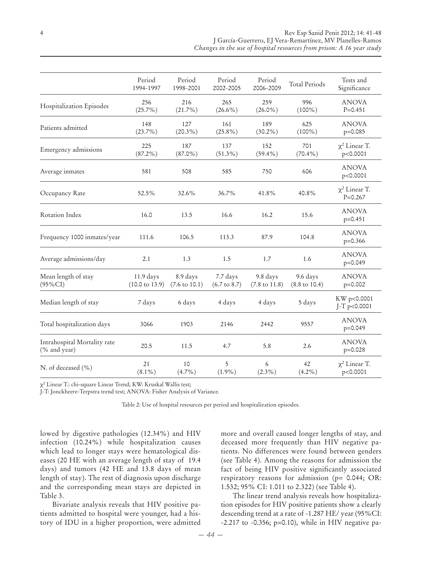| J García-Guerrero, EJ Vera-Remartínez, MV Planelles-Ramos             |  |
|-----------------------------------------------------------------------|--|
| Changes in the use of hospital resources from prison: A 16 year study |  |

|                                              | Period<br>1994-1997                    | Period<br>1998-2001                  | Period<br>2002-2005                 | Period<br>2006-2009                  | <b>Total Periods</b>                 | Tests and<br>Significance         |
|----------------------------------------------|----------------------------------------|--------------------------------------|-------------------------------------|--------------------------------------|--------------------------------------|-----------------------------------|
| Hospitalization Episodes                     | 256<br>$(25.7\%)$                      | 216<br>$(21.7\%)$                    | 265<br>$(26.6\%)$                   | 259<br>$(26.0\%)$                    | 996<br>$(100\%)$                     | <b>ANOVA</b><br>$P = 0.451$       |
| Patients admitted                            | 148<br>$(23.7\%)$                      | 127<br>$(20.3\%)$                    | 161<br>$(25.8\%)$                   | 189<br>$(30.2\%)$                    | 625<br>$(100\%)$                     | <b>ANOVA</b><br>$p=0.085$         |
| Emergency admissions                         | 225<br>$(87.2\%)$                      | 187<br>$(87.0\%)$                    | 137<br>$(51.3\%)$                   | 152<br>$(59.4\%)$                    | 701<br>$(70.4\%)$                    | $\chi^2$ Linear T.<br>p<0.0001    |
| Average inmates                              | 581                                    | 508                                  | 585                                 | 750                                  | 606                                  | <b>ANOVA</b><br>p<0.0001          |
| Occupancy Rate                               | 52.5%                                  | 32.6%                                | 36.7%                               | 41.8%                                | 40.8%                                | $\chi^2$ Linear T.<br>$P = 0.267$ |
| Rotation Index                               | 16.0                                   | 13.5                                 | 16.6                                | 16.2                                 | 15.6                                 | <b>ANOVA</b><br>$p=0.451$         |
| Frequency 1000 inmates/year                  | 111.6                                  | 106.5                                | 113.3                               | 87.9                                 | 104.8                                | <b>ANOVA</b><br>$p=0.366$         |
| Average admissions/day                       | 2.1                                    | 1.3                                  | 1.5                                 | 1.7                                  | 1.6                                  | <b>ANOVA</b><br>$p=0.049$         |
| Mean length of stay<br>$(95\%CI)$            | 11.9 days<br>$(10.0 \text{ to } 13.9)$ | 8.9 days<br>$(7.6 \text{ to } 10.1)$ | 7.7 days<br>$(6.7 \text{ to } 8.7)$ | 9.8 days<br>$(7.8 \text{ to } 11.8)$ | 9.6 days<br>$(8.8 \text{ to } 10.4)$ | <b>ANOVA</b><br>$p=0.002$         |
| Median length of stay                        | 7 days                                 | 6 days                               | 4 days                              | 4 days                               | 5 days                               | KW p<0.0001<br>J-T p<0.0001       |
| Total hospitalization days                   | 3066                                   | 1903                                 | 2146                                | 2442                                 | 9557                                 | <b>ANOVA</b><br>$p=0.049$         |
| Intrahospital Mortality rate<br>(% and year) | 20.5                                   | 11.5                                 | 4.7                                 | 5.8                                  | 2.6                                  | <b>ANOVA</b><br>$p=0.028$         |
| N. of deceased (%)                           | 21<br>$(8.1\%)$                        | 10<br>$(4.7\%)$                      | 5<br>$(1.9\%)$                      | 6<br>$(2.3\%)$                       | 42<br>$(4.2\%)$                      | $\chi^2$ Linear T.<br>p<0.0001    |

χ2 Linear T.: chi-square Linear Trend; KW: Kruskal Wallis test;

J-T: Jonckheere-Terpstra trend test; ANOVA: Fisher Analysis of Variance.

Table 2: Use of hospital resources per period and hospitalization episodes.

lowed by digestive pathologies (12.34%) and HIV infection (10.24%) while hospitalization causes which lead to longer stays were hematological diseases (20 HE with an average length of stay of 19.4 days) and tumors (42 HE and 13.8 days of mean length of stay). The rest of diagnosis upon discharge and the corresponding mean stays are depicted in Table 3.

Bivariate analysis reveals that HIV positive patients admitted to hospital were younger, had a history of IDU in a higher proportion, were admitted more and overall caused longer lengths of stay, and deceased more frequently than HIV negative patients. No differences were found between genders (see Table 4). Among the reasons for admission the fact of being HIV positive significantly associated respiratory reasons for admission (p= 0.044; OR: 1.532; 95% CI: 1.011 to 2.322) (see Table 4).

The linear trend analysis reveals how hospitalization episodes for HIV positive patients show a clearly descending trend at a rate of -1.287 HE/ year (95%CI: -2.217 to -0.356; p=0.10), while in HIV negative pa-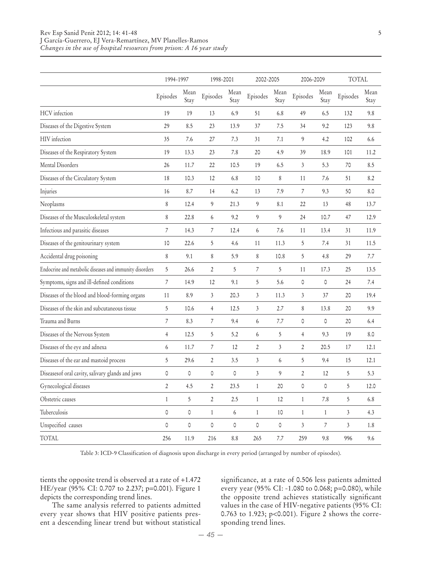|                                                         | 1994-1997      |              | 1998-2001        |              | 2002-2005      |                | 2006-2009           |                  | <b>TOTAL</b>   |              |
|---------------------------------------------------------|----------------|--------------|------------------|--------------|----------------|----------------|---------------------|------------------|----------------|--------------|
|                                                         | Episodes       | Mean<br>Stay | Episodes         | Mean<br>Stay | Episodes       | Mean<br>Stay   | Episodes            | Mean<br>Stay     | Episodes       | Mean<br>Stay |
| <b>HCV</b> infection                                    | 19             | 19           | 13               | 6.9          | 51             | 6.8            | 49                  | 6.5              | 132            | 9.8          |
| Diseases of the Digestive System                        | 29             | 8.5          | 23               | 13.9         | 37             | 7.5            | 34                  | 9.2              | 123            | 9.8          |
| HIV infection                                           | 35             | 7.6          | 27               | 7.3          | 31             | 7.1            | 9                   | 4.2              | 102            | 6.6          |
| Diseases of the Respiratory System                      | 19             | 13.3         | 23               | 7.8          | 20             | 4.9            | 39                  | 18.9             | 101            | 11.2         |
| Mental Disorders                                        | 26             | 11.7         | 22               | 10.5         | 19             | 6.5            | $\mathfrak{Z}$      | 5.3              | 70             | 8.5          |
| Diseases of the Circulatory System                      | 18             | 10.3         | 12               | 6.8          | 10             | 8              | 11                  | 7.6              | 51             | 8.2          |
| Injuries                                                | 16             | 8.7          | 14               | 6.2          | 13             | 7.9            | $\overline{7}$      | 9.3              | 50             | 8.0          |
| Neoplasms                                               | $\,8\,$        | 12.4         | 9                | 21.3         | 9              | 8.1            | 22                  | 13               | 48             | 13.7         |
| Diseases of the Musculoskeletal system                  | 8              | 22.8         | 6                | 9.2          | 9              | 9              | 24                  | 10.7             | 47             | 12.9         |
| Infectious and parasitic diseases                       | $\overline{7}$ | 14.3         | $\overline{7}$   | 12.4         | 6              | 7.6            | 11                  | 13.4             | 31             | 11.9         |
| Diseases of the genitourinary system                    | 10             | 22.6         | 5                | 4.6          | 11             | 11.3           | 5                   | 7.4              | 31             | 11.5         |
| Accidental drug poisoning                               | 8              | 9.1          | 8                | 5.9          | 8              | 10.8           | 5                   | 4.8              | 29             | 7.7          |
| Endocrine and metabolic diseases and immunity disorders | 5              | 26.6         | $\overline{2}$   | 5            | $\overline{7}$ | 5              | 11                  | 17.3             | 25             | 13.5         |
| Symptoms, signs and ill-defined conditions              | $\overline{7}$ | 14.9         | 12               | 9.1          | 5              | 5.6            | $\mathbb O$         | 0                | 24             | 7.4          |
| Diseases of the blood and blood-forming organs          | 11             | 8.9          | $\mathfrak{Z}$   | 20.3         | $\mathfrak{Z}$ | 11.3           | 3                   | 37               | 20             | 19.4         |
| Diseases of the skin and subcutaneous tissue            | 5              | 10.6         | $\overline{4}$   | 12.5         | 3              | 2.7            | 8                   | 13.8             | 20             | 9.9          |
| Trauma and Burns                                        | $\overline{7}$ | 8.3          | $\boldsymbol{7}$ | 9.4          | 6              | 7.7            | 0                   | 0                | 20             | 6.4          |
| Diseases of the Nervous System                          | $\overline{4}$ | 12.5         | $\sqrt{5}$       | 5.2          | 6              | 5              | $\overline{4}$      | 9.3              | 19             | 8.0          |
| Diseases of the eye and adnexa                          | 6              | 11.7         | $\overline{7}$   | 12           | $\overline{2}$ | $\mathfrak{Z}$ | $\overline{2}$      | 20.5             | 17             | 12.1         |
| Diseases of the ear and mastoid process                 | 5              | 29.6         | $\overline{2}$   | 3.5          | $\mathfrak{Z}$ | 6              | 5                   | 9.4              | 15             | 12.1         |
| Diseasesof oral cavity, salivary glands and jaws        | 0              | 0            | 0                | 0            | 3              | 9              | $\overline{2}$      | 12               | 5              | 5.3          |
| Gynecological diseases                                  | $\overline{2}$ | 4.5          | $\overline{2}$   | 23.5         | $\mathbf{1}$   | 20             | $\mathsf{O}\xspace$ | 0                | 5              | 12.0         |
| Obstetric causes                                        | $\,1\,$        | 5            | $\mathfrak{2}$   | 2.5          | $\mathbf{1}$   | 12             | $\mathbf{1}$        | 7.8              | 5              | 6.8          |
| Tuberculosis                                            | 0              | 0            | $\mathbf{1}$     | 6            | $\mathbf{1}$   | 10             | $\mathbf{1}$        | $\mathbf{1}$     | 3              | 4.3          |
| Unspecified causes                                      | 0              | 0            | 0                | 0            | 0              | 0              | $\mathfrak{Z}$      | $\boldsymbol{7}$ | $\mathfrak{Z}$ | 1.8          |
| TOTAL                                                   | 256            | 11.9         | 216              | 8.8          | 265            | 7.7            | 259                 | 9.8              | 996            | 9.6          |

Table 3: ICD-9 Classification of diagnosis upon discharge in every period (arranged by number of episodes).

tients the opposite trend is observed at a rate of +1.472 HE/year (95% CI: 0.707 to 2.237; p=0.001). Figure 1 depicts the corresponding trend lines.

The same analysis referred to patients admitted every year shows that HIV positive patients present a descending linear trend but without statistical significance, at a rate of 0.506 less patients admitted every year (95% CI: -1.080 to 0.068; p=0.080), while the opposite trend achieves statistically significant values in the case of HIV-negative patients (95% CI: 0.763 to 1.923; p<0.001). Figure 2 shows the corresponding trend lines.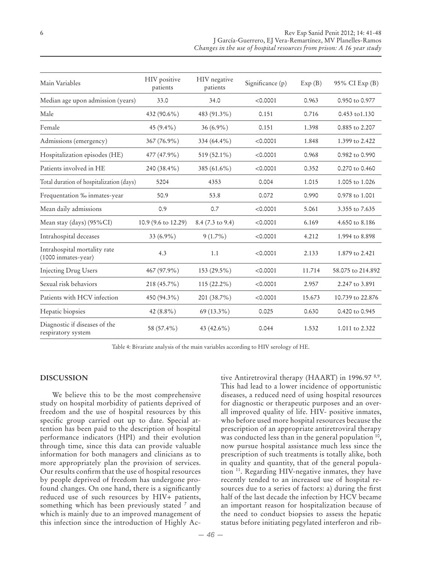| Main Variables                                      | HIV positive<br>patients | HIV negative<br>patients | Significance (p) | Exp(B) | 95% CI Exp (B)    |  |
|-----------------------------------------------------|--------------------------|--------------------------|------------------|--------|-------------------|--|
| Median age upon admission (years)                   | 33.0                     | 34.0                     | < 0.0001         | 0.963  | 0.950 to 0.977    |  |
| Male                                                | 432 (90.6%)              | 483 (91.3%)              | 0.151            | 0.716  | 0.453 to 1.130    |  |
| Female                                              | 45 $(9.4\%)$             | $36(6.9\%)$              | 0.151            | 1.398  | 0.885 to 2.207    |  |
| Admissions (emergency)                              | 367 (76.9%)              | 334 (64.4%)              | < 0.0001         | 1.848  | 1.399 to 2.422    |  |
| Hospitalization episodes (HE)                       | 477 (47.9%)              | 519 (52.1%)              | < 0.0001         | 0.968  | 0.982 to 0.990    |  |
| Patients involved in HE                             | 240 (38.4%)              | 385 (61.6%)              | < 0.0001         | 0.352  | 0.270 to 0.460    |  |
| Total duration of hospitalization (days)            | 5204                     | 4353                     | 0.004            | 1.015  | 1.005 to 1.026    |  |
| Frequentation % inmates-year                        | 50.9                     | 53.8                     | 0.072            | 0.990  | 0.978 to 1.001    |  |
| Mean daily admissions                               | 0.9                      | 0.7                      | < 0.0001         | 5.061  | 3.355 to 7.635    |  |
| Mean stay (days) (95%CI)                            | 10.9 (9.6 to 12.29)      | 8.4 (7.3 to 9.4)         | < 0.0001         | 6.169  | 4.650 to 8.186    |  |
| Intrahospital deceases                              | 33 (6.9%)                | $9(1.7\%)$               | < 0.0001         | 4.212  | 1.994 to 8.898    |  |
| Intrahospital mortality rate<br>(1000 inmates-year) | 4.3                      | 1.1                      | < 0.0001         | 2.133  | 1.879 to 2.421    |  |
| <b>Injecting Drug Users</b>                         | 467 (97.9%)              | 153 (29.5%)              | < 0.0001         | 11.714 | 58.075 to 214.892 |  |
| Sexual risk behaviors                               | 218 (45.7%)              | $115(22.2\%)$            | < 0.0001         | 2.957  | 2.247 to 3.891    |  |
| Patients with HCV infection                         | 450 (94.3%)              | 201 (38.7%)              | < 0.0001         | 15.673 | 10.739 to 22.876  |  |
| Hepatic biopsies                                    | 42 (8.8%)                | $69(13.3\%)$             | 0.025            | 0.630  | 0.420 to 0.945    |  |
| Diagnostic if diseases of the<br>respiratory system | 58 (57.4%)               | 43 (42.6%)               | 0.044            | 1.532  | 1.011 to 2.322    |  |

Table 4: Bivariate analysis of the main variables according to HIV serology of HE.

### **DISCUSSION**

We believe this to be the most comprehensive study on hospital morbidity of patients deprived of freedom and the use of hospital resources by this specific group carried out up to date. Special attention has been paid to the description of hospital performance indicators (HPI) and their evolution through time, since this data can provide valuable information for both managers and clinicians as to more appropriately plan the provision of services. Our results confirm that the use of hospital resources by people deprived of freedom has undergone profound changes. On one hand, there is a significantly reduced use of such resources by HIV+ patients, something which has been previously stated <sup>7</sup> and which is mainly due to an improved management of this infection since the introduction of Highly Active Antiretroviral therapy (HAART) in 1996.97<sup>8,9</sup>. This had lead to a lower incidence of opportunistic diseases, a reduced need of using hospital resources for diagnostic or therapeutic purposes and an overall improved quality of life. HIV- positive inmates, who before used more hospital resources because the prescription of an appropriate antiretroviral therapy was conducted less than in the general population <sup>10</sup>, now pursue hospital assistance much less since the prescription of such treatments is totally alike, both in quality and quantity, that of the general population 11. Regarding HIV-negative inmates, they have recently tended to an increased use of hospital resources due to a series of factors: a) during the first half of the last decade the infection by HCV became an important reason for hospitalization because of the need to conduct biopsies to assess the hepatic status before initiating pegylated interferon and rib-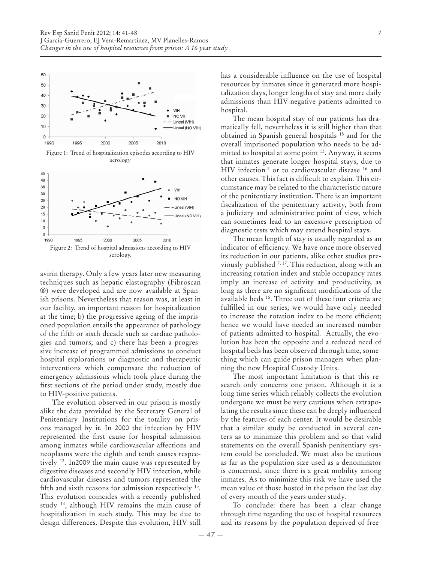

avirin therapy. Only a few years later new measuring techniques such as hepatic elastography (Fibroscan ®) were developed and are now available at Spanish prisons. Nevertheless that reason was, at least in our facility, an important reason for hospitalization at the time; b) the progressive ageing of the imprisoned population entails the appearance of pathology of the fifth or sixth decade such as cardiac pathologies and tumors; and c) there has been a progressive increase of programmed admissions to conduct hospital explorations or diagnostic and therapeutic interventions which compensate the reduction of emergency admissions which took place during the first sections of the period under study, mostly due to HIV-positive patients.

The evolution observed in our prison is mostly alike the data provided by the Secretary General of Penitentiary Institutions for the totality on prisons managed by it. In 2000 the infection by HIV represented the first cause for hospital admission among inmates while cardiovascular affections and neoplasms were the eighth and tenth causes respectively 12. In2009 the main cause was represented by digestive diseases and secondly HIV infection, while cardiovascular diseases and tumors represented the fifth and sixth reasons for admission respectively 13. This evolution coincides with a recently published study 14, although HIV remains the main cause of hospitalization in such study. This may be due to design differences. Despite this evolution, HIV still

has a considerable influence on the use of hospital resources by inmates since it generated more hospitalization days, longer lengths of stay and more daily admissions than HIV-negative patients admitted to hospital.

The mean hospital stay of our patients has dramatically fell, nevertheless it is still higher than that obtained in Spanish general hospitals 15 and for the overall imprisoned population who needs to be admitted to hospital at some point 13. Anyway, it seems that inmates generate longer hospital stays, due to HIV infection<sup>2</sup> or to cardiovascular disease <sup>16</sup> and other causes. This fact is difficult to explain. This circumstance may be related to the characteristic nature of the penitentiary institution. There is an important fiscalization of the penitentiary activity, both from a judiciary and administrative point of view, which can sometimes lead to an excessive prescription of diagnostic tests which may extend hospital stays.

The mean length of stay is usually regarded as an indicator of efficiency. We have once more observed its reduction in our patients, alike other studies previously published  $^{7,17}$ . This reduction, along with an increasing rotation index and stable occupancy rates imply an increase of activity and productivity, as long as there are no significant modifications of the available beds 15. Three out of these four criteria are fulfilled in our series; we would have only needed to increase the rotation index to be more efficient; hence we would have needed an increased number of patients admitted to hospital. Actually, the evolution has been the opposite and a reduced need of hospital beds has been observed through time, something which can guide prison managers when planning the new Hospital Custody Units.

The most important limitation is that this research only concerns one prison. Although it is a long time series which reliably collects the evolution undergone we must be very cautious when extrapolating the results since these can be deeply influenced by the features of each center. It would be desirable that a similar study be conducted in several centers as to minimize this problem and so that valid statements on the overall Spanish penitentiary system could be concluded. We must also be cautious as far as the population size used as a denominator is concerned, since there is a great mobility among inmates. As to minimize this risk we have used the mean value of those hosted in the prison the last day of every month of the years under study.

To conclude: there has been a clear change through time regarding the use of hospital resources and its reasons by the population deprived of free